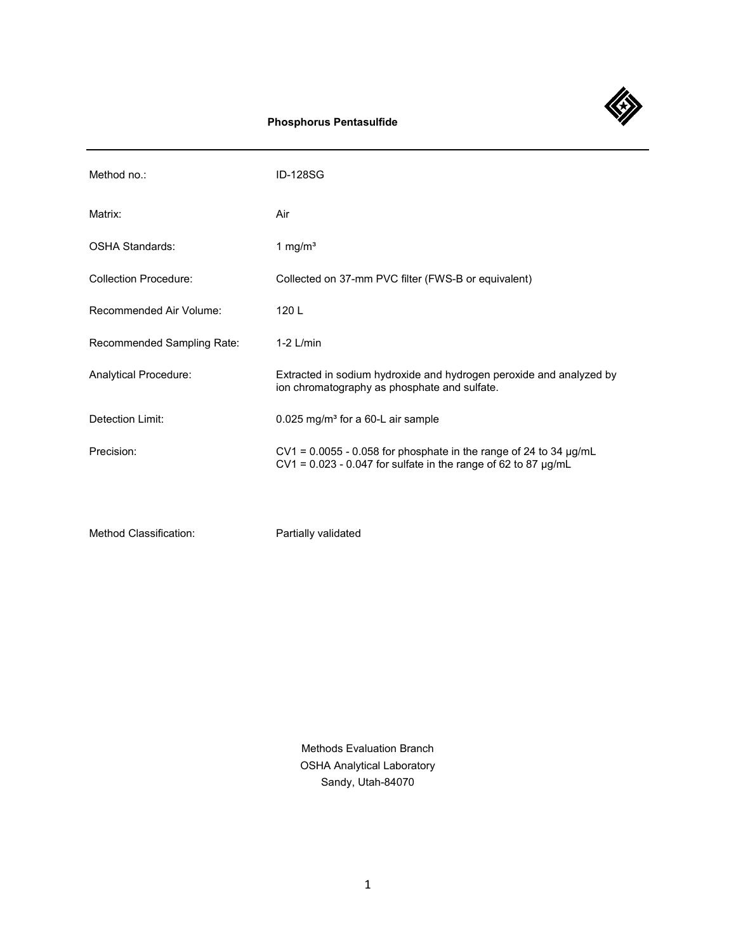

# **Phosphorus Pentasulfide**

| Method no.:                  | <b>ID-128SG</b>                                                                                                                                   |
|------------------------------|---------------------------------------------------------------------------------------------------------------------------------------------------|
| Matrix:                      | Air                                                                                                                                               |
| OSHA Standards:              | 1 mg/ $m3$                                                                                                                                        |
| <b>Collection Procedure:</b> | Collected on 37-mm PVC filter (FWS-B or equivalent)                                                                                               |
| Recommended Air Volume:      | 120L                                                                                                                                              |
| Recommended Sampling Rate:   | $1-2$ L/min                                                                                                                                       |
| Analytical Procedure:        | Extracted in sodium hydroxide and hydrogen peroxide and analyzed by<br>ion chromatography as phosphate and sulfate.                               |
| Detection Limit:             | 0.025 mg/m <sup>3</sup> for a 60-L air sample                                                                                                     |
| Precision:                   | $CV1 = 0.0055 - 0.058$ for phosphate in the range of 24 to 34 $\mu g/mL$<br>$CV1 = 0.023 - 0.047$ for sulfate in the range of 62 to 87 $\mu$ g/mL |
|                              |                                                                                                                                                   |

Method Classification: Partially validated

Methods Evaluation Branch OSHA Analytical Laboratory Sandy, Utah-84070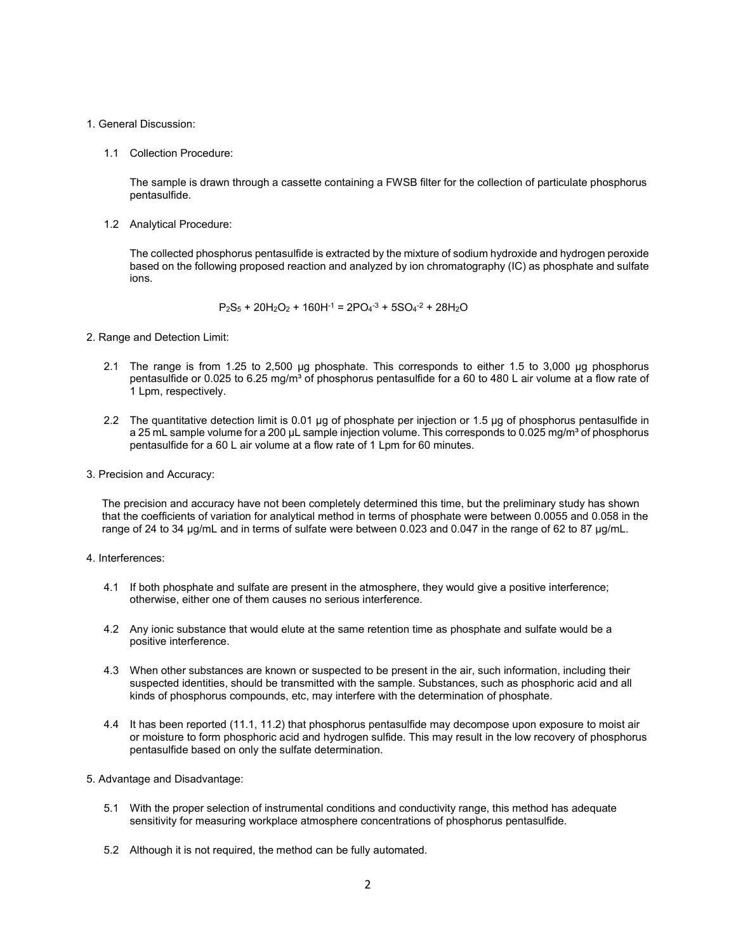### 1. General Discussion:

1.1 Collection Procedure:

The sample is drawn through a cassette containing a FWSB filter for the collection of particulate phosphorus pentasulfide.

1.2 Analytical Procedure:

The collected phosphorus pentasulfide is extracted by the mixture of sodium hydroxide and hydrogen peroxide based on the following proposed reaction and analyzed by ion chromatography (IC) as phosphate and sulfate ions.

$$
P_2S_5 + 20H_2O_2 + 160H^{-1} = 2PO_4^{-3} + 5SO_4^{-2} + 28H_2O
$$

- 2. Range and Detection Limit:
	- 2.1 The range is from 1.25 to 2,500 µg phosphate. This corresponds to either 1.5 to 3,000 µg phosphorus pentasulfide or 0.025 to 6.25 mg/m<sup>3</sup> of phosphorus pentasulfide for a 60 to 480 L air volume at a flow rate of 1 Lpm, respectively.
	- 2.2 The quantitative detection limit is 0.01 µg of phosphate per injection or 1.5 µg of phosphorus pentasulfide in a 25 mL sample volume for a 200 µL sample injection volume. This corresponds to 0.025 mg/m<sup>3</sup> of phosphorus pentasulfide for a 60 L air volume at a flow rate of 1 Lpm for 60 minutes.
- 3. Precision and Accuracy:

The precision and accuracy have not been completely determined this time, but the preliminary study has shown that the coefficients of variation for analytical method in terms of phosphate were between 0.0055 and 0.058 in the range of 24 to 34 µg/mL and in terms of sulfate were between 0.023 and 0.047 in the range of 62 to 87 µg/mL.

- 4. Interferences:
	- 4.1 If both phosphate and sulfate are present in the atmosphere, they would give a positive interference; otherwise, either one of them causes no serious interference.
	- 4.2 Any ionic substance that would elute at the same retention time as phosphate and sulfate would be a positive interference.
	- 4.3 When other substances are known or suspected to be present in the air, such information, including their suspected identities, should be transmitted with the sample. Substances, such as phosphoric acid and all kinds of phosphorus compounds, etc, may interfere with the determination of phosphate.
	- 4.4 It has been reported (11.1, 11.2) that phosphorus pentasulfide may decompose upon exposure to moist air or moisture to form phosphoric acid and hydrogen sulfide. This may result in the low recovery of phosphorus pentasulfide based on only the sulfate determination.
- 5. Advantage and Disadvantage:
	- 5.1 With the proper selection of instrumental conditions and conductivity range, this method has adequate sensitivity for measuring workplace atmosphere concentrations of phosphorus pentasulfide.
	- 5.2 Although it is not required, the method can be fully automated.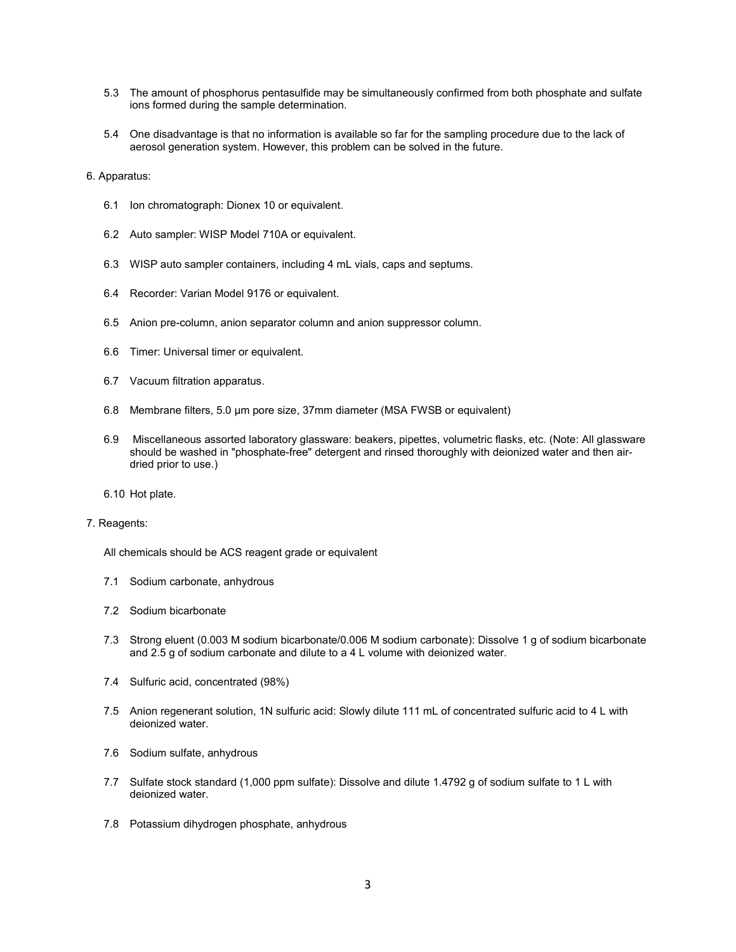- 5.3 The amount of phosphorus pentasulfide may be simultaneously confirmed from both phosphate and sulfate ions formed during the sample determination.
- 5.4 One disadvantage is that no information is available so far for the sampling procedure due to the lack of aerosol generation system. However, this problem can be solved in the future.

6. Apparatus:

- 6.1 Ion chromatograph: Dionex 10 or equivalent.
- 6.2 Auto sampler: WISP Model 710A or equivalent.
- 6.3 WISP auto sampler containers, including 4 mL vials, caps and septums.
- 6.4 Recorder: Varian Model 9176 or equivalent.
- 6.5 Anion pre-column, anion separator column and anion suppressor column.
- 6.6 Timer: Universal timer or equivalent.
- 6.7 Vacuum filtration apparatus.
- 6.8 Membrane filters, 5.0 µm pore size, 37mm diameter (MSA FWSB or equivalent)
- 6.9 Miscellaneous assorted laboratory glassware: beakers, pipettes, volumetric flasks, etc. (Note: All glassware should be washed in "phosphate-free" detergent and rinsed thoroughly with deionized water and then airdried prior to use.)
- 6.10 Hot plate.

#### 7. Reagents:

All chemicals should be ACS reagent grade or equivalent

- 7.1 Sodium carbonate, anhydrous
- 7.2 Sodium bicarbonate
- 7.3 Strong eluent (0.003 M sodium bicarbonate/0.006 M sodium carbonate): Dissolve 1 g of sodium bicarbonate and 2.5 g of sodium carbonate and dilute to a 4 L volume with deionized water.
- 7.4 Sulfuric acid, concentrated (98%)
- 7.5 Anion regenerant solution, 1N sulfuric acid: Slowly dilute 111 mL of concentrated sulfuric acid to 4 L with deionized water.
- 7.6 Sodium sulfate, anhydrous
- 7.7 Sulfate stock standard (1,000 ppm sulfate): Dissolve and dilute 1.4792 g of sodium sulfate to 1 L with deionized water.
- 7.8 Potassium dihydrogen phosphate, anhydrous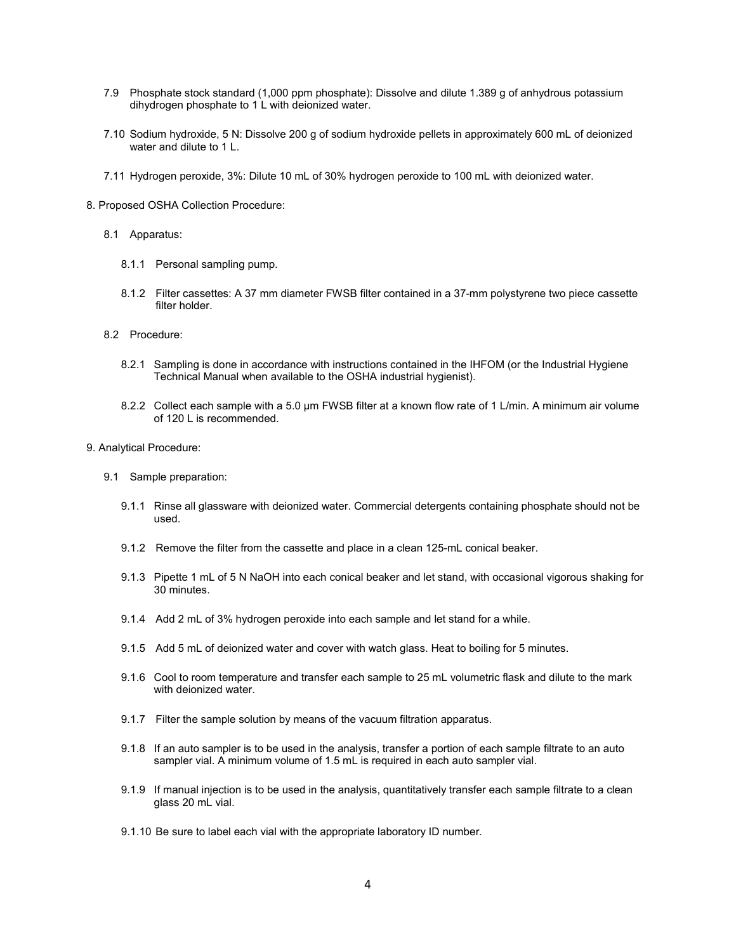- 7.9 Phosphate stock standard (1,000 ppm phosphate): Dissolve and dilute 1.389 g of anhydrous potassium dihydrogen phosphate to 1 L with deionized water.
- 7.10 Sodium hydroxide, 5 N: Dissolve 200 g of sodium hydroxide pellets in approximately 600 mL of deionized water and dilute to 1 L.
- 7.11 Hydrogen peroxide, 3%: Dilute 10 mL of 30% hydrogen peroxide to 100 mL with deionized water.
- 8. Proposed OSHA Collection Procedure:
	- 8.1 Apparatus:
		- 8.1.1 Personal sampling pump.
		- 8.1.2 Filter cassettes: A 37 mm diameter FWSB filter contained in a 37-mm polystyrene two piece cassette filter holder.
	- 8.2 Procedure:
		- 8.2.1 Sampling is done in accordance with instructions contained in the IHFOM (or the Industrial Hygiene Technical Manual when available to the OSHA industrial hygienist).
		- 8.2.2 Collect each sample with a 5.0 µm FWSB filter at a known flow rate of 1 L/min. A minimum air volume of 120 L is recommended.
- 9. Analytical Procedure:
	- 9.1 Sample preparation:
		- 9.1.1 Rinse all glassware with deionized water. Commercial detergents containing phosphate should not be used.
		- 9.1.2 Remove the filter from the cassette and place in a clean 125-mL conical beaker.
		- 9.1.3 Pipette 1 mL of 5 N NaOH into each conical beaker and let stand, with occasional vigorous shaking for 30 minutes.
		- 9.1.4 Add 2 mL of 3% hydrogen peroxide into each sample and let stand for a while.
		- 9.1.5 Add 5 mL of deionized water and cover with watch glass. Heat to boiling for 5 minutes.
		- 9.1.6 Cool to room temperature and transfer each sample to 25 mL volumetric flask and dilute to the mark with deionized water.
		- 9.1.7 Filter the sample solution by means of the vacuum filtration apparatus.
		- 9.1.8 If an auto sampler is to be used in the analysis, transfer a portion of each sample filtrate to an auto sampler vial. A minimum volume of 1.5 mL is required in each auto sampler vial.
		- 9.1.9 If manual injection is to be used in the analysis, quantitatively transfer each sample filtrate to a clean glass 20 mL vial.
		- 9.1.10 Be sure to label each vial with the appropriate laboratory ID number.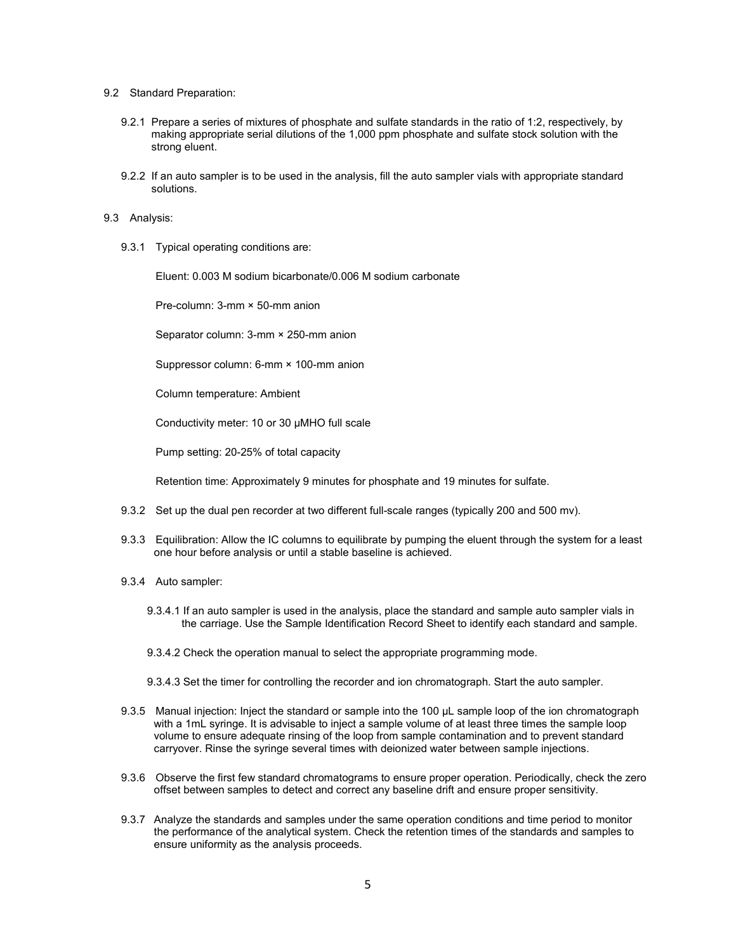#### 9.2 Standard Preparation:

- 9.2.1 Prepare a series of mixtures of phosphate and sulfate standards in the ratio of 1:2, respectively, by making appropriate serial dilutions of the 1,000 ppm phosphate and sulfate stock solution with the strong eluent.
- 9.2.2 If an auto sampler is to be used in the analysis, fill the auto sampler vials with appropriate standard solutions.

#### 9.3 Analysis:

9.3.1 Typical operating conditions are:

Eluent: 0.003 M sodium bicarbonate/0.006 M sodium carbonate

Pre-column: 3-mm × 50-mm anion

Separator column: 3-mm × 250-mm anion

Suppressor column: 6-mm × 100-mm anion

Column temperature: Ambient

Conductivity meter: 10 or 30 µMHO full scale

Pump setting: 20-25% of total capacity

Retention time: Approximately 9 minutes for phosphate and 19 minutes for sulfate.

- 9.3.2 Set up the dual pen recorder at two different full-scale ranges (typically 200 and 500 mv).
- 9.3.3 Equilibration: Allow the IC columns to equilibrate by pumping the eluent through the system for a least one hour before analysis or until a stable baseline is achieved.
- 9.3.4 Auto sampler:
	- 9.3.4.1 If an auto sampler is used in the analysis, place the standard and sample auto sampler vials in the carriage. Use the Sample Identification Record Sheet to identify each standard and sample.
	- 9.3.4.2 Check the operation manual to select the appropriate programming mode.
	- 9.3.4.3 Set the timer for controlling the recorder and ion chromatograph. Start the auto sampler.
- 9.3.5 Manual injection: Inject the standard or sample into the 100 µL sample loop of the ion chromatograph with a 1mL syringe. It is advisable to inject a sample volume of at least three times the sample loop volume to ensure adequate rinsing of the loop from sample contamination and to prevent standard carryover. Rinse the syringe several times with deionized water between sample injections.
- 9.3.6 Observe the first few standard chromatograms to ensure proper operation. Periodically, check the zero offset between samples to detect and correct any baseline drift and ensure proper sensitivity.
- 9.3.7 Analyze the standards and samples under the same operation conditions and time period to monitor the performance of the analytical system. Check the retention times of the standards and samples to ensure uniformity as the analysis proceeds.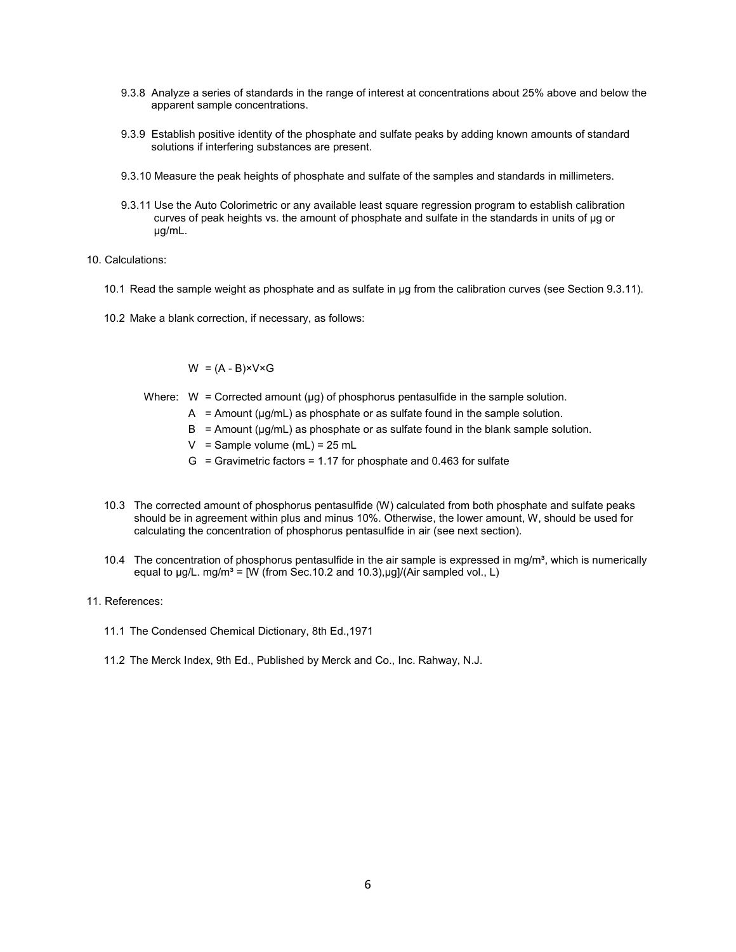- 9.3.8 Analyze a series of standards in the range of interest at concentrations about 25% above and below the apparent sample concentrations.
- 9.3.9 Establish positive identity of the phosphate and sulfate peaks by adding known amounts of standard solutions if interfering substances are present.
- 9.3.10 Measure the peak heights of phosphate and sulfate of the samples and standards in millimeters.
- 9.3.11 Use the Auto Colorimetric or any available least square regression program to establish calibration curves of peak heights vs. the amount of phosphate and sulfate in the standards in units of µg or µg/mL.
- 10. Calculations:
	- 10.1 Read the sample weight as phosphate and as sulfate in µg from the calibration curves (see Section 9.3.11).
	- 10.2 Make a blank correction, if necessary, as follows:

## $W = (A - B) \times V \times G$

- Where:  $W =$  Corrected amount ( $\mu$ g) of phosphorus pentasulfide in the sample solution.
	- A = Amount ( $\mu$ g/mL) as phosphate or as sulfate found in the sample solution.
	- $B =$  Amount ( $\mu g/mL$ ) as phosphate or as sulfate found in the blank sample solution.
	- $V =$  Sample volume (mL) = 25 mL
	- $G =$  Gravimetric factors = 1.17 for phosphate and 0.463 for sulfate
- 10.3 The corrected amount of phosphorus pentasulfide (W) calculated from both phosphate and sulfate peaks should be in agreement within plus and minus 10%. Otherwise, the lower amount, W, should be used for calculating the concentration of phosphorus pentasulfide in air (see next section).
- 10.4 The concentration of phosphorus pentasulfide in the air sample is expressed in mq/m<sup>3</sup>, which is numerically equal to  $\mu$ g/L. mg/m<sup>3</sup> = [W (from Sec.10.2 and 10.3), $\mu$ g]/(Air sampled vol., L)
- 11. References:
	- 11.1 The Condensed Chemical Dictionary, 8th Ed.,1971
	- 11.2 The Merck Index, 9th Ed., Published by Merck and Co., Inc. Rahway, N.J.